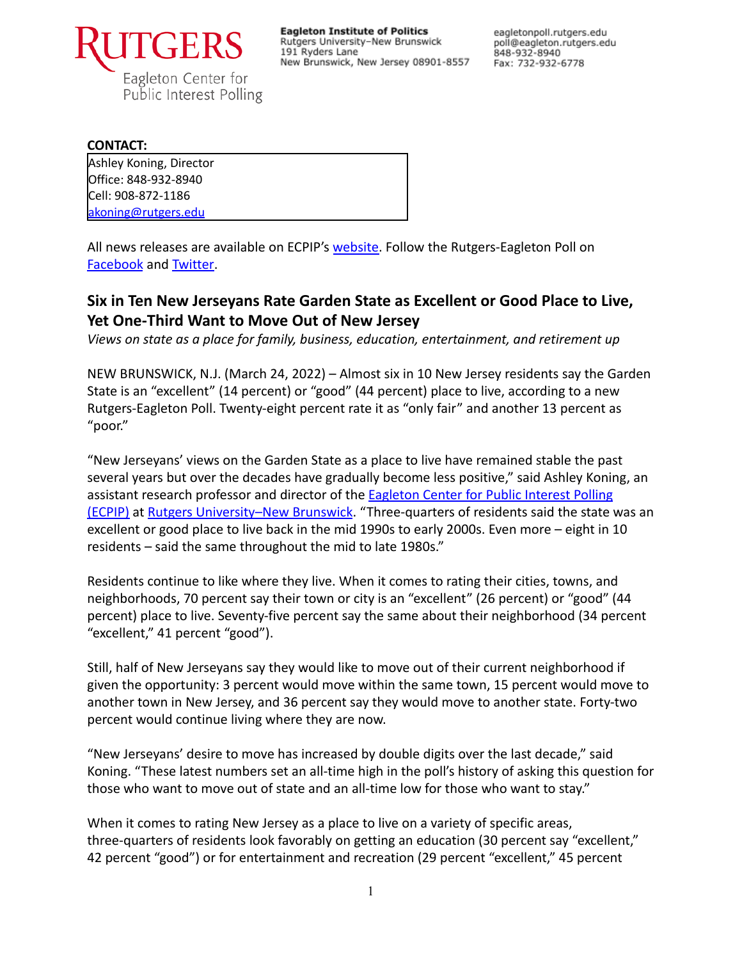

**Eagleton Institute of Politics** Rutgers University-New Brunswick 191 Ryders Lane New Brunswick, New Jersey 08901-8557 eagletonpoll.rutgers.edu poll@eagleton.rutgers.edu 848-932-8940 Fax: 732-932-6778

#### **CONTACT:**

Ashley Koning, Director Office: 848-932-8940 Cell: 908-872-1186 [akoning@rutgers.edu](mailto:akoning@rutgers.edu)

All news releases are available on ECPIP's [website.](https://eagletonpoll.rutgers.edu/press_releases/) Follow the Rutgers-Eagleton Poll on [Facebook](https://www.facebook.com/RutgersEagletonPoll) and [Twitter.](https://twitter.com/EagletonPoll)

# **Six in Ten New Jerseyans Rate Garden State as Excellent or Good Place to Live, Yet One-Third Want to Move Out of New Jersey**

*Views on state as a place for family, business, education, entertainment, and retirement up*

NEW BRUNSWICK, N.J. (March 24, 2022) – Almost six in 10 New Jersey residents say the Garden State is an "excellent" (14 percent) or "good" (44 percent) place to live, according to a new Rutgers-Eagleton Poll. Twenty-eight percent rate it as "only fair" and another 13 percent as "poor."

"New Jerseyans' views on the Garden State as a place to live have remained stable the past several years but over the decades have gradually become less positive," said Ashley Koning, an assistant research professor and director of the Eagleton [Center for Public Interest Polling](http://eagletonpoll.rutgers.edu/) [\(ECPIP\)](http://eagletonpoll.rutgers.edu/) at [Rutgers University–New Brunswick](https://newbrunswick.rutgers.edu/). "Three-quarters of residents said the state was an excellent or good place to live back in the mid 1990s to early 2000s. Even more – eight in 10 residents – said the same throughout the mid to late 1980s."

Residents continue to like where they live. When it comes to rating their cities, towns, and neighborhoods, 70 percent say their town or city is an "excellent" (26 percent) or "good" (44 percent) place to live. Seventy-five percent say the same about their neighborhood (34 percent "excellent," 41 percent "good").

Still, half of New Jerseyans say they would like to move out of their current neighborhood if given the opportunity: 3 percent would move within the same town, 15 percent would move to another town in New Jersey, and 36 percent say they would move to another state. Forty-two percent would continue living where they are now.

"New Jerseyans' desire to move has increased by double digits over the last decade," said Koning. "These latest numbers set an all-time high in the poll's history of asking this question for those who want to move out of state and an all-time low for those who want to stay."

When it comes to rating New Jersey as a place to live on a variety of specific areas, three-quarters of residents look favorably on getting an education (30 percent say "excellent," 42 percent "good") or for entertainment and recreation (29 percent "excellent," 45 percent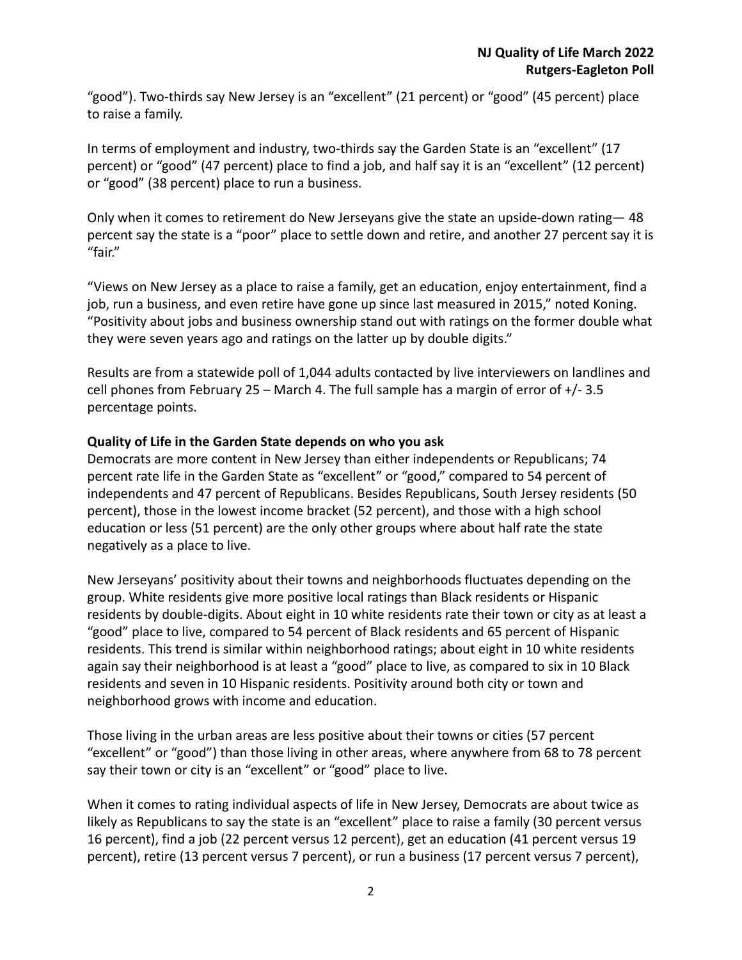"good"). Two-thirds say New Jersey is an "excellent" (21 percent) or "good" (45 percent) place to raise a family.

In terms of employment and industry, two-thirds say the Garden State is an "excellent" (17 percent) or "good" (47 percent) place to find a job, and half say it is an "excellent" (12 percent) or "good" (38 percent) place to run a business.

Only when it comes to retirement do New Jerseyans give the state an upside-down rating— 48 percent say the state is a "poor" place to settle down and retire, and another 27 percent say it is "fair."

"Views on New Jersey as a place to raise a family, get an education, enjoy entertainment, find a job, run a business, and even retire have gone up since last measured in 2015," noted Koning. "Positivity about jobs and business ownership stand out with ratings on the former double what they were seven years ago and ratings on the latter up by double digits."

Results are from a statewide poll of 1,044 adults contacted by live interviewers on landlines and cell phones from February 25 – March 4. The full sample has a margin of error of +/- 3.5 percentage points.

### **Quality of Life in the Garden State depends on who you ask**

Democrats are more content in New Jersey than either independents or Republicans; 74 percent rate life in the Garden State as "excellent" or "good," compared to 54 percent of independents and 47 percent of Republicans. Besides Republicans, South Jersey residents (50 percent), those in the lowest income bracket (52 percent), and those with a high school education or less (51 percent) are the only other groups where about half rate the state negatively as a place to live.

New Jerseyans' positivity about their towns and neighborhoods fluctuates depending on the group. White residents give more positive local ratings than Black residents or Hispanic residents by double-digits. About eight in 10 white residents rate their town or city as at least a "good" place to live, compared to 54 percent of Black residents and 65 percent of Hispanic residents. This trend is similar within neighborhood ratings; about eight in 10 white residents again say their neighborhood is at least a "good" place to live, as compared to six in 10 Black residents and seven in 10 Hispanic residents. Positivity around both city or town and neighborhood grows with income and education.

Those living in the urban areas are less positive about their towns or cities (57 percent "excellent" or "good") than those living in other areas, where anywhere from 68 to 78 percent say their town or city is an "excellent" or "good" place to live.

When it comes to rating individual aspects of life in New Jersey, Democrats are about twice as likely as Republicans to say the state is an "excellent" place to raise a family (30 percent versus 16 percent), find a job (22 percent versus 12 percent), get an education (41 percent versus 19 percent), retire (13 percent versus 7 percent), or run a business (17 percent versus 7 percent),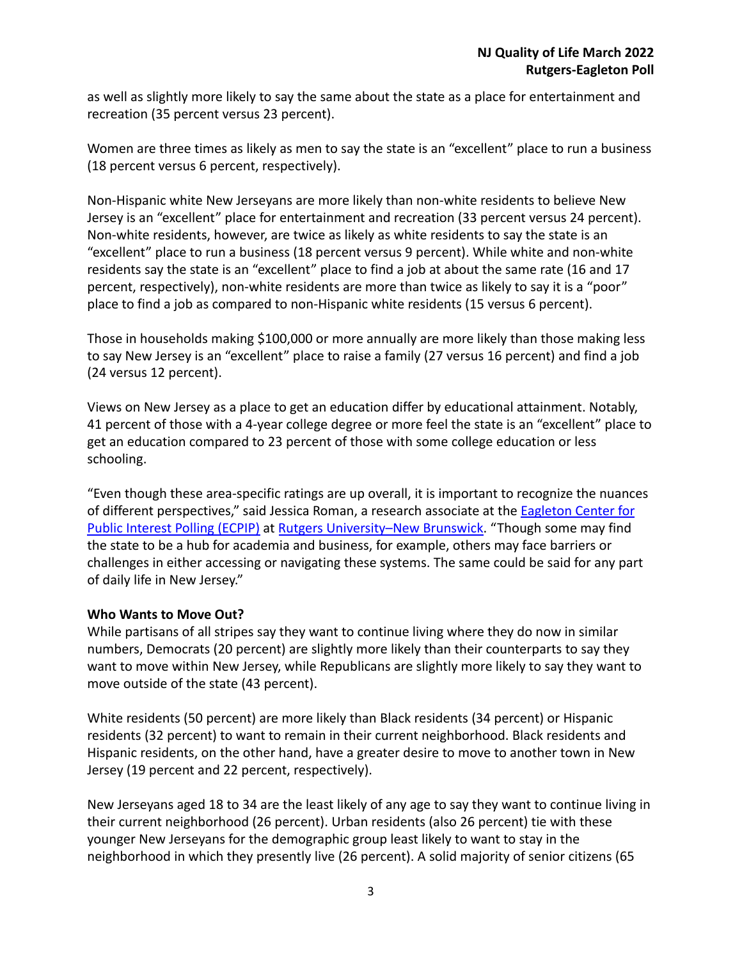as well as slightly more likely to say the same about the state as a place for entertainment and recreation (35 percent versus 23 percent).

Women are three times as likely as men to say the state is an "excellent" place to run a business (18 percent versus 6 percent, respectively).

Non-Hispanic white New Jerseyans are more likely than non-white residents to believe New Jersey is an "excellent" place for entertainment and recreation (33 percent versus 24 percent). Non-white residents, however, are twice as likely as white residents to say the state is an "excellent" place to run a business (18 percent versus 9 percent). While white and non-white residents say the state is an "excellent" place to find a job at about the same rate (16 and 17 percent, respectively), non-white residents are more than twice as likely to say it is a "poor" place to find a job as compared to non-Hispanic white residents (15 versus 6 percent).

Those in households making \$100,000 or more annually are more likely than those making less to say New Jersey is an "excellent" place to raise a family (27 versus 16 percent) and find a job (24 versus 12 percent).

Views on New Jersey as a place to get an education differ by educational attainment. Notably, 41 percent of those with a 4-year college degree or more feel the state is an "excellent" place to get an education compared to 23 percent of those with some college education or less schooling.

"Even though these area-specific ratings are up overall, it is important to recognize the nuances of different perspectives," said Jessica Roman, a research associate at the **[Eagleton Center for](http://eagletonpoll.rutgers.edu/)** [Public Interest Polling \(ECPIP\)](http://eagletonpoll.rutgers.edu/) at [Rutgers University–New](https://newbrunswick.rutgers.edu/) Brunswick. "Though some may find the state to be a hub for academia and business, for example, others may face barriers or challenges in either accessing or navigating these systems. The same could be said for any part of daily life in New Jersey."

### **Who Wants to Move Out?**

While partisans of all stripes say they want to continue living where they do now in similar numbers, Democrats (20 percent) are slightly more likely than their counterparts to say they want to move within New Jersey, while Republicans are slightly more likely to say they want to move outside of the state (43 percent).

White residents (50 percent) are more likely than Black residents (34 percent) or Hispanic residents (32 percent) to want to remain in their current neighborhood. Black residents and Hispanic residents, on the other hand, have a greater desire to move to another town in New Jersey (19 percent and 22 percent, respectively).

New Jerseyans aged 18 to 34 are the least likely of any age to say they want to continue living in their current neighborhood (26 percent). Urban residents (also 26 percent) tie with these younger New Jerseyans for the demographic group least likely to want to stay in the neighborhood in which they presently live (26 percent). A solid majority of senior citizens (65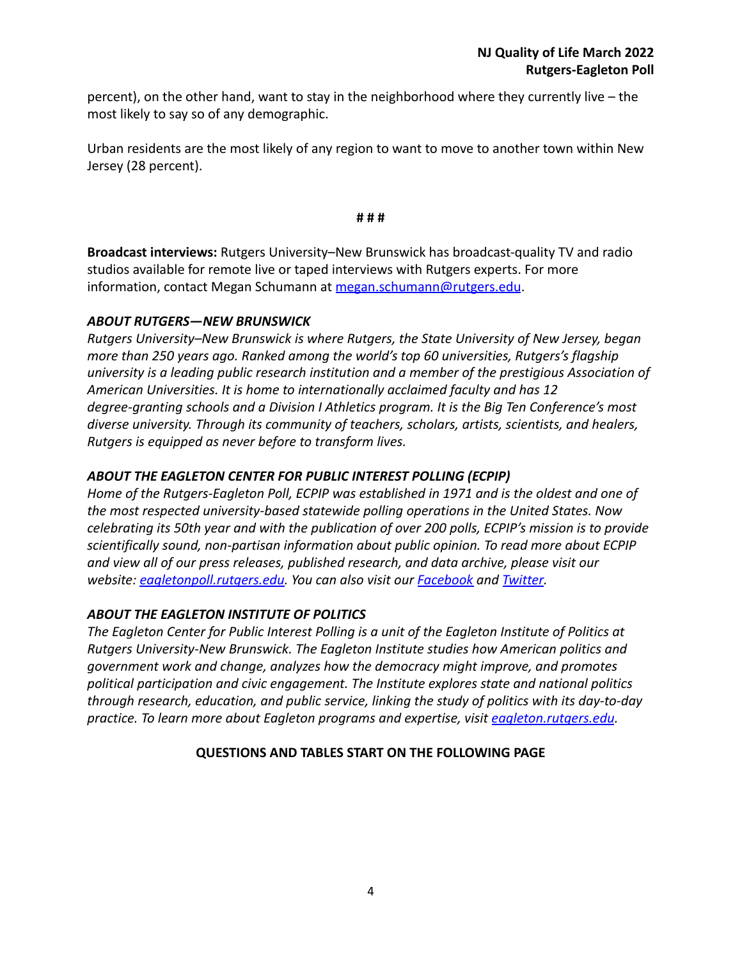percent), on the other hand, want to stay in the neighborhood where they currently live – the most likely to say so of any demographic.

Urban residents are the most likely of any region to want to move to another town within New Jersey (28 percent).

**# # #**

**Broadcast interviews:** Rutgers University–New Brunswick has broadcast-quality TV and radio studios available for remote live or taped interviews with Rutgers experts. For more information, contact Megan Schumann at [megan.schumann@rutgers.edu](mailto:megan.schumann@rutgers.edu).

## *ABOUT RUTGERS—NEW BRUNSWICK*

*Rutgers University–New Brunswick is where Rutgers, the State University of New Jersey, began more than 250 years ago. Ranked among the world's top 60 universities, Rutgers's flagship university is a leading public research institution and a member of the prestigious Association of American Universities. It is home to internationally acclaimed faculty and has 12 degree-granting schools and a Division I Athletics program. It is the Big Ten Conference's most diverse university. Through its community of teachers, scholars, artists, scientists, and healers, Rutgers is equipped as never before to transform lives.*

## *ABOUT THE EAGLETON CENTER FOR PUBLIC INTEREST POLLING (ECPIP)*

*Home of the Rutgers-Eagleton Poll, ECPIP was established in 1971 and is the oldest and one of the most respected university-based statewide polling operations in the United States. Now celebrating its 50th year and with the publication of over 200 polls, ECPIP's mission is to provide scientifically sound, non-partisan information about public opinion. To read more about ECPIP and view all of our press releases, published research, and data archive, please visit our website: [eagletonpoll.rutgers.edu.](http://eagletonpoll.rutgers.edu/) You can also visit our [Facebook](https://www.facebook.com/RutgersEagletonPoll/) and [Twitter.](https://twitter.com/eagletonpoll)*

## *ABOUT THE EAGLETON INSTITUTE OF POLITICS*

*The Eagleton Center for Public Interest Polling is a unit of the Eagleton Institute of Politics at Rutgers University-New Brunswick. The Eagleton Institute studies how American politics and government work and change, analyzes how the democracy might improve, and promotes political participation and civic engagement. The Institute explores state and national politics through research, education, and public service, linking the study of politics with its day-to-day practice. To learn more about Eagleton programs and expertise, visit [eagleton.rutgers.edu](http://eagleton.rutgers.edu/).*

## **QUESTIONS AND TABLES START ON THE FOLLOWING PAGE**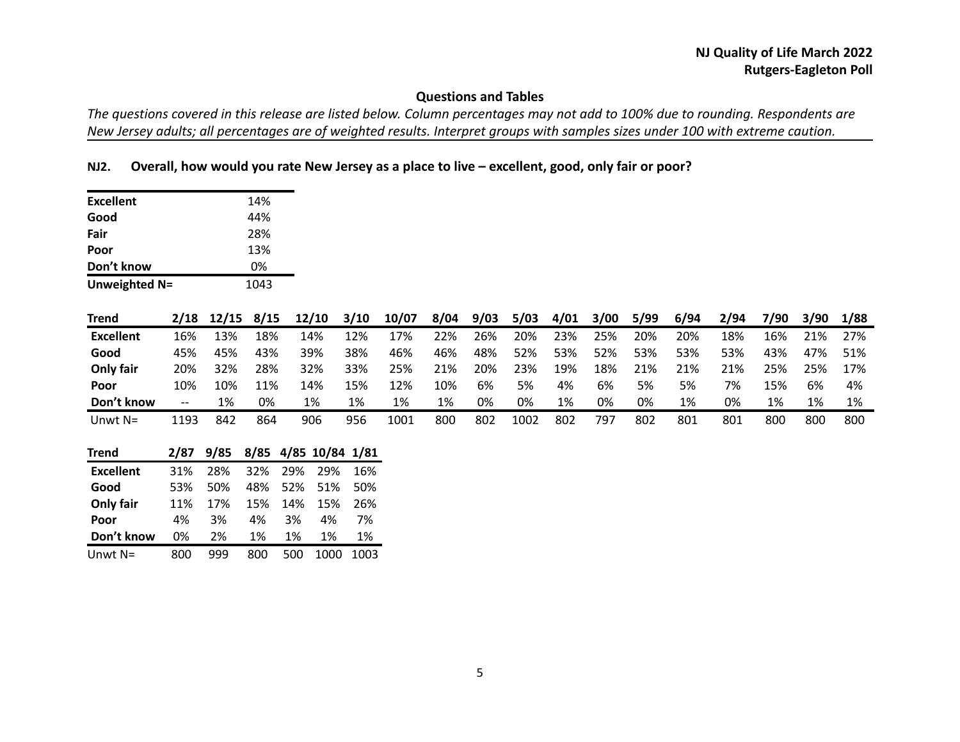# **Questions and Tables**

*The questions covered in this release are listed below. Column percentages may not add to 100% due to rounding. Respondents are New Jersey adults; all percentages are of weighted results. Interpret groups with samples sizes under 100 with extreme caution.*

### **NJ2. Overall, how would you rate New Jersey as a place to live – excellent, good, only fair or poor?**

| <b>Excellent</b> |       |       | 14%  |     |       |                 |       |      |      |      |      |      |      |      |      |      |      |      |
|------------------|-------|-------|------|-----|-------|-----------------|-------|------|------|------|------|------|------|------|------|------|------|------|
| Good             |       |       | 44%  |     |       |                 |       |      |      |      |      |      |      |      |      |      |      |      |
| Fair             |       |       | 28%  |     |       |                 |       |      |      |      |      |      |      |      |      |      |      |      |
| Poor             |       |       | 13%  |     |       |                 |       |      |      |      |      |      |      |      |      |      |      |      |
| Don't know       |       |       | 0%   |     |       |                 |       |      |      |      |      |      |      |      |      |      |      |      |
| Unweighted N=    |       |       | 1043 |     |       |                 |       |      |      |      |      |      |      |      |      |      |      |      |
| <b>Trend</b>     | 2/18  | 12/15 | 8/15 |     | 12/10 | 3/10            | 10/07 | 8/04 | 9/03 | 5/03 | 4/01 | 3/00 | 5/99 | 6/94 | 2/94 | 7/90 | 3/90 | 1/88 |
| <b>Excellent</b> | 16%   | 13%   | 18%  |     | 14%   | 12%             | 17%   | 22%  | 26%  | 20%  | 23%  | 25%  | 20%  | 20%  | 18%  | 16%  | 21%  | 27%  |
| Good             | 45%   | 45%   | 43%  |     | 39%   | 38%             | 46%   | 46%  | 48%  | 52%  | 53%  | 52%  | 53%  | 53%  | 53%  | 43%  | 47%  | 51%  |
| Only fair        | 20%   | 32%   | 28%  |     | 32%   | 33%             | 25%   | 21%  | 20%  | 23%  | 19%  | 18%  | 21%  | 21%  | 21%  | 25%  | 25%  | 17%  |
| Poor             | 10%   | 10%   | 11%  |     | 14%   | 15%             | 12%   | 10%  | 6%   | 5%   | 4%   | 6%   | 5%   | 5%   | 7%   | 15%  | 6%   | 4%   |
| Don't know       | $-\!$ | 1%    | 0%   |     | 1%    | 1%              | 1%    | 1%   | 0%   | 0%   | 1%   | 0%   | 0%   | 1%   | 0%   | 1%   | 1%   | 1%   |
| Unwt $N=$        | 1193  | 842   | 864  |     | 906   | 956             | 1001  | 800  | 802  | 1002 | 802  | 797  | 802  | 801  | 801  | 800  | 800  | 800  |
| <b>Trend</b>     | 2/87  | 9/85  | 8/85 |     |       | 4/85 10/84 1/81 |       |      |      |      |      |      |      |      |      |      |      |      |
| <b>Excellent</b> | 31%   | 28%   | 32%  | 29% | 29%   | 16%             |       |      |      |      |      |      |      |      |      |      |      |      |
| Good             | 53%   | 50%   | 48%  | 52% | 51%   | 50%             |       |      |      |      |      |      |      |      |      |      |      |      |
| Only fair        | 11%   | 17%   | 15%  | 14% | 15%   | 26%             |       |      |      |      |      |      |      |      |      |      |      |      |
| Poor             | 4%    | 3%    | 4%   | 3%  | 4%    | 7%              |       |      |      |      |      |      |      |      |      |      |      |      |
| Don't know       | 0%    | 2%    | 1%   | 1%  | 1%    | 1%              |       |      |      |      |      |      |      |      |      |      |      |      |
| Unwt $N=$        | 800   | 999   | 800  | 500 | 1000  | 1003            |       |      |      |      |      |      |      |      |      |      |      |      |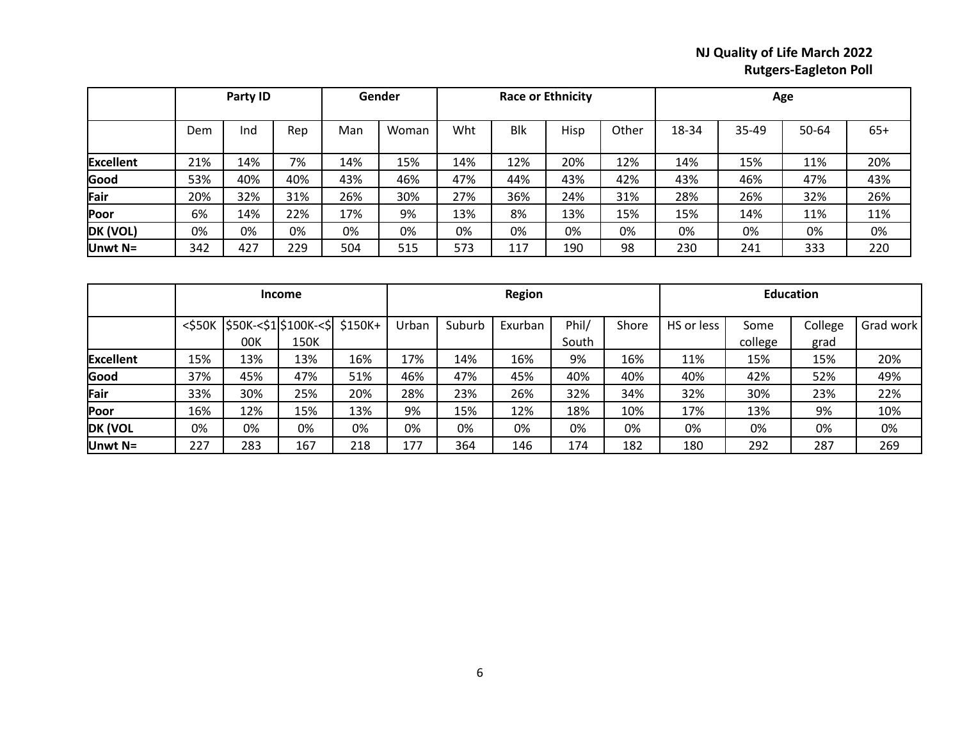|                  |     | Party ID |     |     | Gender |     |            | <b>Race or Ethnicity</b> |       |       |       | Age   |       |
|------------------|-----|----------|-----|-----|--------|-----|------------|--------------------------|-------|-------|-------|-------|-------|
|                  | Dem | Ind      | Rep | Man | Woman  | Wht | <b>Blk</b> | Hisp                     | Other | 18-34 | 35-49 | 50-64 | $65+$ |
| <b>Excellent</b> | 21% | 14%      | 7%  | 14% | 15%    | 14% | 12%        | 20%                      | 12%   | 14%   | 15%   | 11%   | 20%   |
| Good             | 53% | 40%      | 40% | 43% | 46%    | 47% | 44%        | 43%                      | 42%   | 43%   | 46%   | 47%   | 43%   |
| Fair             | 20% | 32%      | 31% | 26% | 30%    | 27% | 36%        | 24%                      | 31%   | 28%   | 26%   | 32%   | 26%   |
| Poor             | 6%  | 14%      | 22% | 17% | 9%     | 13% | 8%         | 13%                      | 15%   | 15%   | 14%   | 11%   | 11%   |
| DK (VOL)         | 0%  | 0%       | 0%  | 0%  | 0%     | 0%  | 0%         | 0%                       | 0%    | 0%    | 0%    | 0%    | 0%    |
| Unwt $N=$        | 342 | 427      | 229 | 504 | 515    | 573 | 117        | 190                      | 98    | 230   | 241   | 333   | 220   |

|                  |              |                                        | <b>Income</b> |     | <b>Region</b> |        |         |                | <b>Education</b> |            |                 |                 |           |
|------------------|--------------|----------------------------------------|---------------|-----|---------------|--------|---------|----------------|------------------|------------|-----------------|-----------------|-----------|
|                  | $<$ \$50 $K$ | $ $50K<$1$$ $$100K<$$ $ $150K+$<br>00K | 150K          |     | Urban         | Suburb | Exurban | Phil/<br>South | Shore            | HS or less | Some<br>college | College<br>grad | Grad work |
| <b>Excellent</b> | 15%          | 13%                                    | 13%           | 16% | 17%           | 14%    | 16%     | 9%             | 16%              | 11%        | 15%             | 15%             | 20%       |
| Good             | 37%          | 45%                                    | 47%           | 51% | 46%           | 47%    | 45%     | 40%            | 40%              | 40%        | 42%             | 52%             | 49%       |
| Fair             | 33%          | 30%                                    | 25%           | 20% | 28%           | 23%    | 26%     | 32%            | 34%              | 32%        | 30%             | 23%             | 22%       |
| Poor             | 16%          | 12%                                    | 15%           | 13% | 9%            | 15%    | 12%     | 18%            | 10%              | 17%        | 13%             | 9%              | 10%       |
| DK (VOL          | 0%           | 0%                                     | 0%            | 0%  | 0%            | 0%     | 0%      | 0%             | 0%               | 0%         | 0%              | 0%              | 0%        |
| Unwt $N=$        | 227          | 283                                    | 167           | 218 | 177           | 364    | 146     | 174            | 182              | 180        | 292             | 287             | 269       |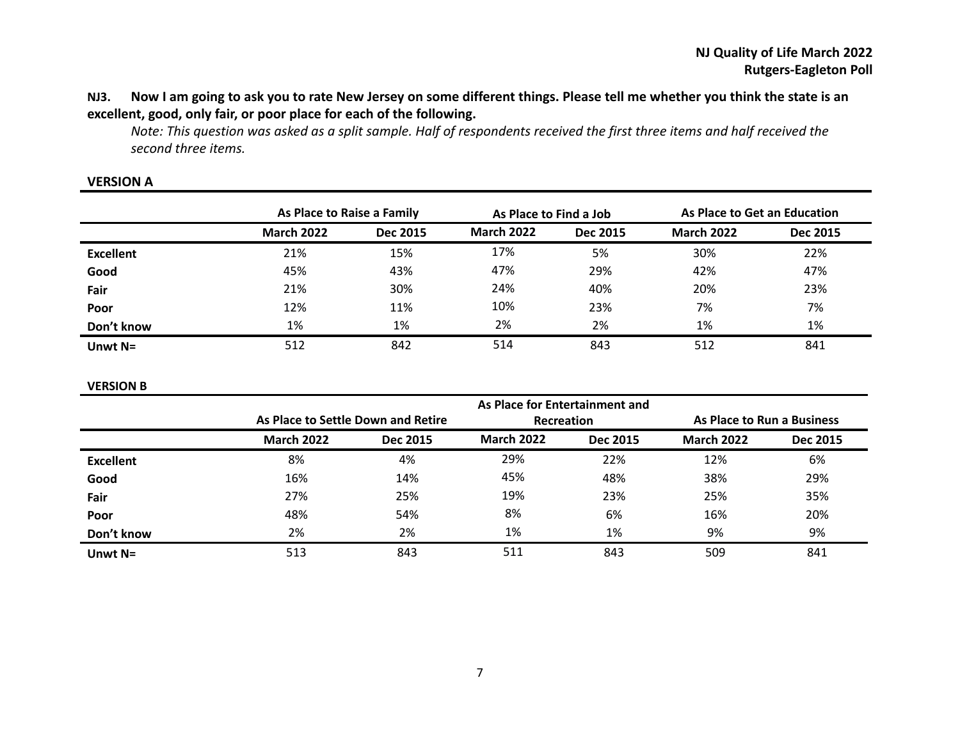## **NJ3. Now I am going to ask you to rate New Jersey on some different things. Please tell me whether you think the state is an excellent, good, only fair, or poor place for each of the following.**

*Note: This question was asked as a split sample. Half of respondents received the first three items and half received the second three items.*

|                  | As Place to Raise a Family |          | As Place to Find a Job |                 | As Place to Get an Education |          |  |
|------------------|----------------------------|----------|------------------------|-----------------|------------------------------|----------|--|
|                  | <b>March 2022</b>          | Dec 2015 | <b>March 2022</b>      | <b>Dec 2015</b> | <b>March 2022</b>            | Dec 2015 |  |
| <b>Excellent</b> | 21%                        | 15%      | 17%                    | 5%              | 30%                          | 22%      |  |
| Good             | 45%                        | 43%      | 47%                    | 29%             | 42%                          | 47%      |  |
| Fair             | 21%                        | 30%      | 24%                    | 40%             | 20%                          | 23%      |  |
| Poor             | 12%                        | 11%      | 10%                    | 23%             | 7%                           | 7%       |  |
| Don't know       | 1%                         | 1%       | 2%                     | 2%              | 1%                           | 1%       |  |
| Unwt $N=$        | 512                        | 842      | 514                    | 843             | 512                          | 841      |  |

#### **VERSION A**

#### **VERSION B**

|                  |                                    |          | As Place for Entertainment and |                 |                            |                 |
|------------------|------------------------------------|----------|--------------------------------|-----------------|----------------------------|-----------------|
|                  | As Place to Settle Down and Retire |          | Recreation                     |                 | As Place to Run a Business |                 |
|                  | <b>March 2022</b>                  | Dec 2015 | <b>March 2022</b>              | <b>Dec 2015</b> | <b>March 2022</b>          | <b>Dec 2015</b> |
| <b>Excellent</b> | 8%                                 | 4%       | 29%                            | 22%             | 12%                        | 6%              |
| Good             | 16%                                | 14%      | 45%                            | 48%             | 38%                        | 29%             |
| Fair             | 27%                                | 25%      | 19%                            | 23%             | 25%                        | 35%             |
| Poor             | 48%                                | 54%      | 8%                             | 6%              | 16%                        | 20%             |
| Don't know       | 2%                                 | 2%       | 1%                             | 1%              | 9%                         | 9%              |
| Unwt $N=$        | 513                                | 843      | 511                            | 843             | 509                        | 841             |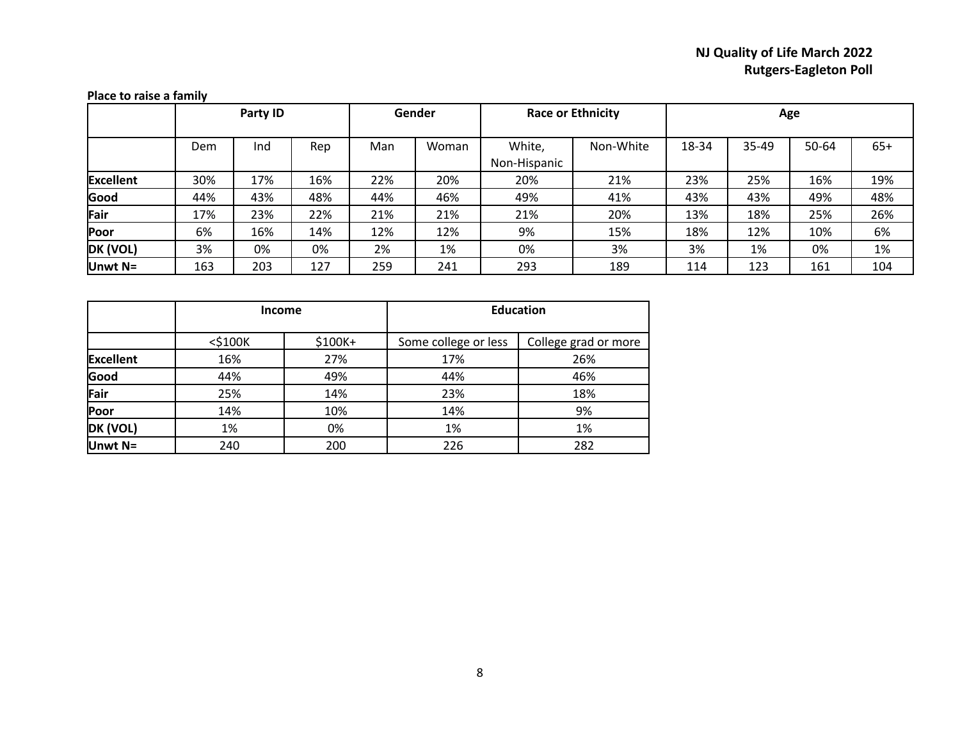|                  |     | Party ID |     | Gender |       | <b>Race or Ethnicity</b> |           | Age   |       |       |       |
|------------------|-----|----------|-----|--------|-------|--------------------------|-----------|-------|-------|-------|-------|
|                  | Dem | Ind      | Rep | Man    | Woman | White,<br>Non-Hispanic   | Non-White | 18-34 | 35-49 | 50-64 | $65+$ |
| <b>Excellent</b> | 30% | 17%      | 16% | 22%    | 20%   | 20%                      | 21%       | 23%   | 25%   | 16%   | 19%   |
| Good             | 44% | 43%      | 48% | 44%    | 46%   | 49%                      | 41%       | 43%   | 43%   | 49%   | 48%   |
| Fair             | 17% | 23%      | 22% | 21%    | 21%   | 21%                      | 20%       | 13%   | 18%   | 25%   | 26%   |
| <b>Poor</b>      | 6%  | 16%      | 14% | 12%    | 12%   | 9%                       | 15%       | 18%   | 12%   | 10%   | 6%    |
| DK (VOL)         | 3%  | 0%       | 0%  | 2%     | 1%    | 0%                       | 3%        | 3%    | 1%    | 0%    | 1%    |
| Unwt N=          | 163 | 203      | 127 | 259    | 241   | 293                      | 189       | 114   | 123   | 161   | 104   |

#### **Place to raise a family**

|                  | <b>Income</b> |         |                      | <b>Education</b>     |
|------------------|---------------|---------|----------------------|----------------------|
|                  | $<$ \$100 $K$ | \$100K+ | Some college or less | College grad or more |
| <b>Excellent</b> | 16%           | 27%     | 17%                  | 26%                  |
| Good             | 44%           | 49%     | 44%                  | 46%                  |
| Fair             | 25%           | 14%     | 23%                  | 18%                  |
| Poor             | 14%           | 10%     | 14%                  | 9%                   |
| DK (VOL)         | 1%            | 0%      | 1%                   | 1%                   |
| Unwt N=          | 240           | 200     | 226                  | 282                  |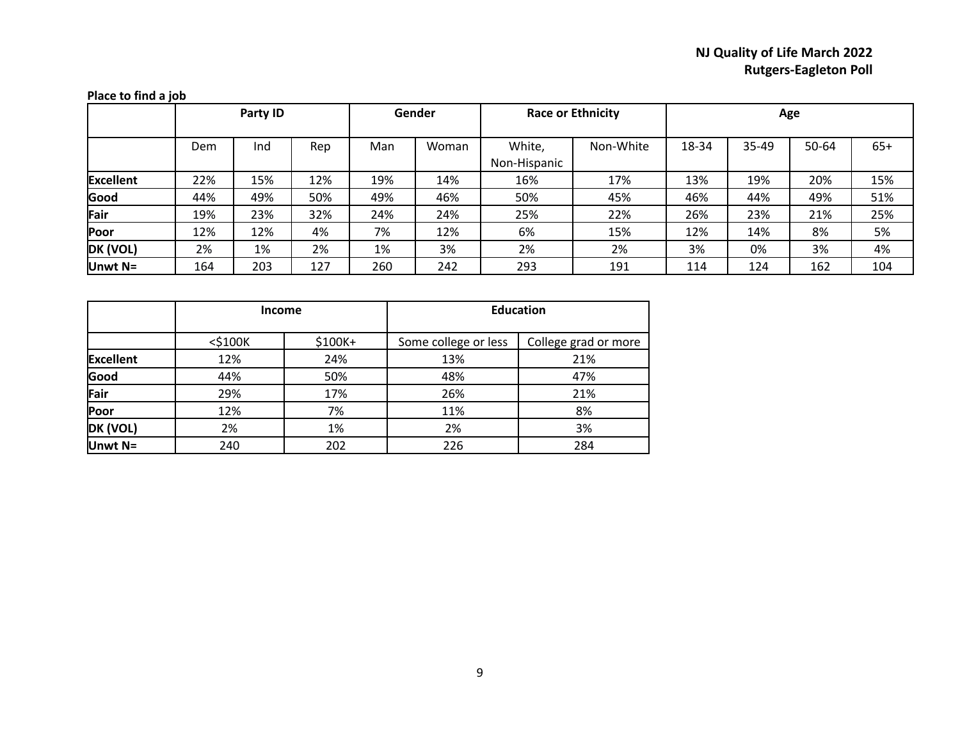| Place to find a job |     |          |     |     |        |                          |           |       |       |       |       |
|---------------------|-----|----------|-----|-----|--------|--------------------------|-----------|-------|-------|-------|-------|
|                     |     | Party ID |     |     | Gender | <b>Race or Ethnicity</b> |           | Age   |       |       |       |
|                     | Dem | Ind      | Rep | Man | Woman  | White,<br>Non-Hispanic   | Non-White | 18-34 | 35-49 | 50-64 | $65+$ |
| <b>Excellent</b>    | 22% | 15%      | 12% | 19% | 14%    | 16%                      | 17%       | 13%   | 19%   | 20%   | 15%   |
| Good                | 44% | 49%      | 50% | 49% | 46%    | 50%                      | 45%       | 46%   | 44%   | 49%   | 51%   |
| Fair                | 19% | 23%      | 32% | 24% | 24%    | 25%                      | 22%       | 26%   | 23%   | 21%   | 25%   |
| Poor                | 12% | 12%      | 4%  | 7%  | 12%    | 6%                       | 15%       | 12%   | 14%   | 8%    | 5%    |
| DK (VOL)            | 2%  | 1%       | 2%  | 1%  | 3%     | 2%                       | 2%        | 3%    | 0%    | 3%    | 4%    |
| Unwt N=             | 164 | 203      | 127 | 260 | 242    | 293                      | 191       | 114   | 124   | 162   | 104   |

|           |               | <b>Income</b> |                      | <b>Education</b>     |
|-----------|---------------|---------------|----------------------|----------------------|
|           | $<$ \$100 $K$ | \$100K+       | Some college or less | College grad or more |
| Excellent | 12%           | 24%           | 13%                  | 21%                  |
| Good      | 44%           | 50%           | 48%                  | 47%                  |
| Fair      | 29%           | 17%           | 26%                  | 21%                  |
| Poor      | 12%           | 7%            | 11%                  | 8%                   |
| DK (VOL)  | 2%            | 1%            | 2%                   | 3%                   |
| Unwt $N=$ | 240           | 202           | 226                  | 284                  |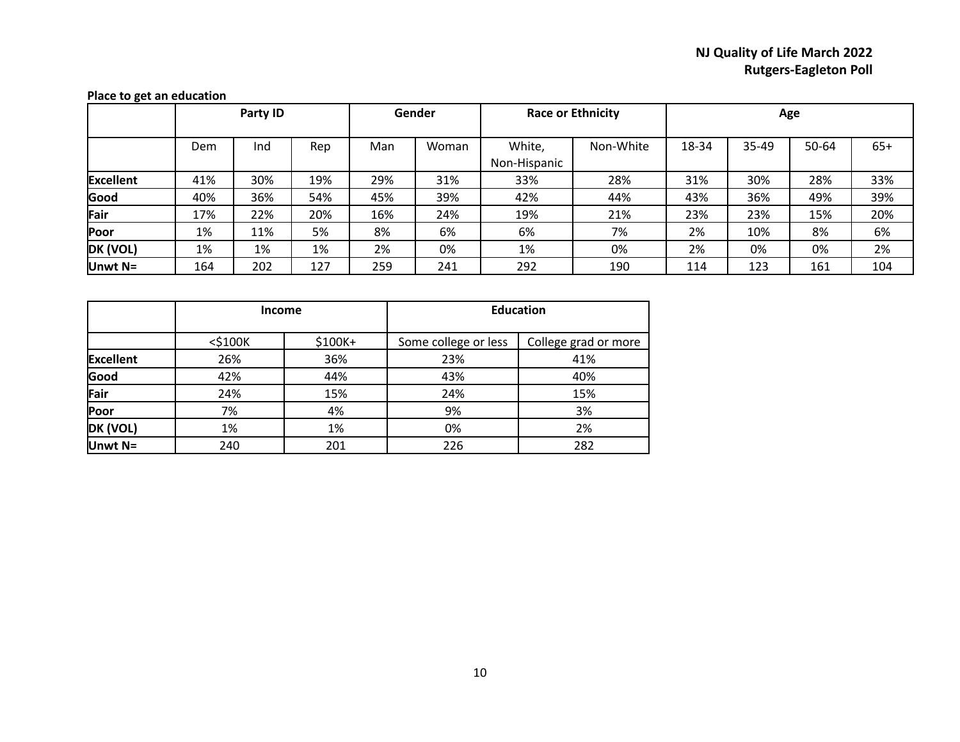|                  |     | Party ID |     | Gender |       | <b>Race or Ethnicity</b> |           | Age   |       |       |       |
|------------------|-----|----------|-----|--------|-------|--------------------------|-----------|-------|-------|-------|-------|
|                  | Dem | Ind      | Rep | Man    | Woman | White,<br>Non-Hispanic   | Non-White | 18-34 | 35-49 | 50-64 | $65+$ |
| <b>Excellent</b> | 41% | 30%      | 19% | 29%    | 31%   | 33%                      | 28%       | 31%   | 30%   | 28%   | 33%   |
| Good             | 40% | 36%      | 54% | 45%    | 39%   | 42%                      | 44%       | 43%   | 36%   | 49%   | 39%   |
| Fair             | 17% | 22%      | 20% | 16%    | 24%   | 19%                      | 21%       | 23%   | 23%   | 15%   | 20%   |
| Poor             | 1%  | 11%      | 5%  | 8%     | 6%    | 6%                       | 7%        | 2%    | 10%   | 8%    | 6%    |
| DK (VOL)         | 1%  | 1%       | 1%  | 2%     | 0%    | 1%                       | 0%        | 2%    | 0%    | 0%    | 2%    |
| Unwt N=          | 164 | 202      | 127 | 259    | 241   | 292                      | 190       | 114   | 123   | 161   | 104   |

#### **Place to get an education**

|           |               | <b>Income</b> |                      | <b>Education</b>     |
|-----------|---------------|---------------|----------------------|----------------------|
|           | $<$ \$100 $K$ | \$100K+       | Some college or less | College grad or more |
| Excellent | 26%           | 36%           | 23%                  | 41%                  |
| Good      | 42%           | 44%           | 43%                  | 40%                  |
| Fair      | 24%           | 15%           | 24%                  | 15%                  |
| Poor      | 7%            | 4%            | 9%                   | 3%                   |
| DK (VOL)  | 1%            | 1%            | 0%                   | 2%                   |
| Unwt N=   | 240           | 201           | 226                  | 282                  |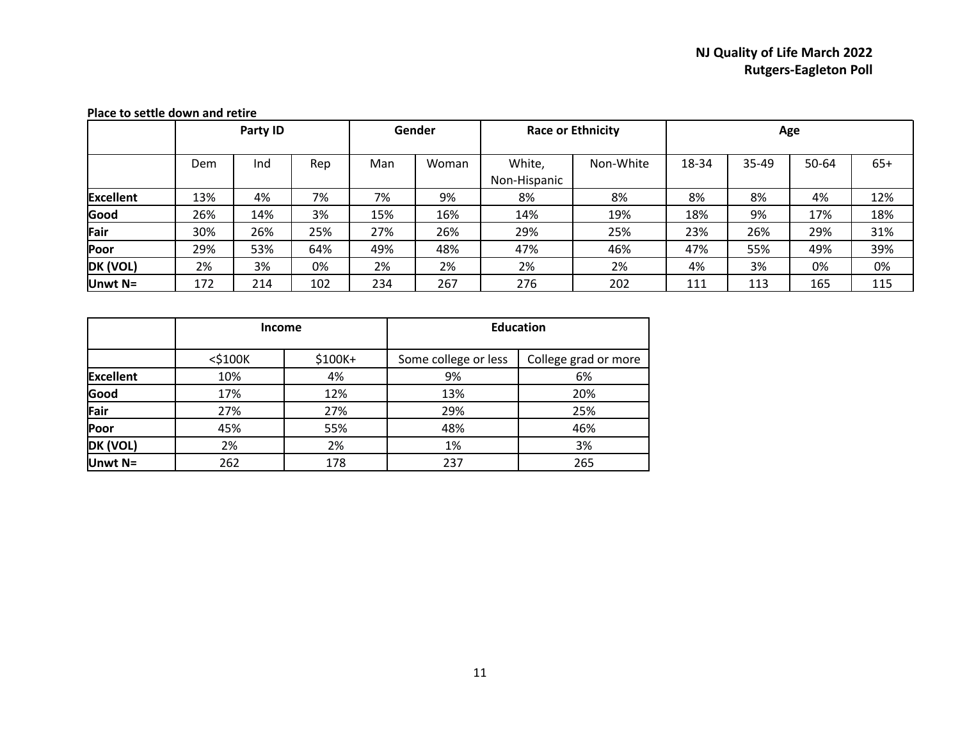|                  |     | Party ID |     | Gender |       | <b>Race or Ethnicity</b> |           | Age   |       |       |       |
|------------------|-----|----------|-----|--------|-------|--------------------------|-----------|-------|-------|-------|-------|
|                  | Dem | Ind      | Rep | Man    | Woman | White,<br>Non-Hispanic   | Non-White | 18-34 | 35-49 | 50-64 | $65+$ |
| <b>Excellent</b> | 13% | 4%       | 7%  | 7%     | 9%    | 8%                       | 8%        | 8%    | 8%    | 4%    | 12%   |
| Good             | 26% | 14%      | 3%  | 15%    | 16%   | 14%                      | 19%       | 18%   | 9%    | 17%   | 18%   |
| Fair             | 30% | 26%      | 25% | 27%    | 26%   | 29%                      | 25%       | 23%   | 26%   | 29%   | 31%   |
| Poor             | 29% | 53%      | 64% | 49%    | 48%   | 47%                      | 46%       | 47%   | 55%   | 49%   | 39%   |
| DK (VOL)         | 2%  | 3%       | 0%  | 2%     | 2%    | 2%                       | 2%        | 4%    | 3%    | 0%    | 0%    |
| Unwt $N=$        | 172 | 214      | 102 | 234    | 267   | 276                      | 202       | 111   | 113   | 165   | 115   |

#### **Place to settle down and retire**

|                  |               | <b>Income</b> | <b>Education</b>     |                      |  |  |  |
|------------------|---------------|---------------|----------------------|----------------------|--|--|--|
|                  | $<$ \$100 $K$ | \$100K+       | Some college or less | College grad or more |  |  |  |
| <b>Excellent</b> | 10%           | 4%            | 9%                   | 6%                   |  |  |  |
| Good             | 17%           | 12%           | 13%                  | 20%                  |  |  |  |
| Fair             | 27%           | 27%           | 29%                  | 25%                  |  |  |  |
| Poor             | 45%           | 55%           | 48%                  | 46%                  |  |  |  |
| DK (VOL)         | 2%            | 2%            | 1%                   | 3%                   |  |  |  |
| Unwt N=          | 262           | 178           | 237                  | 265                  |  |  |  |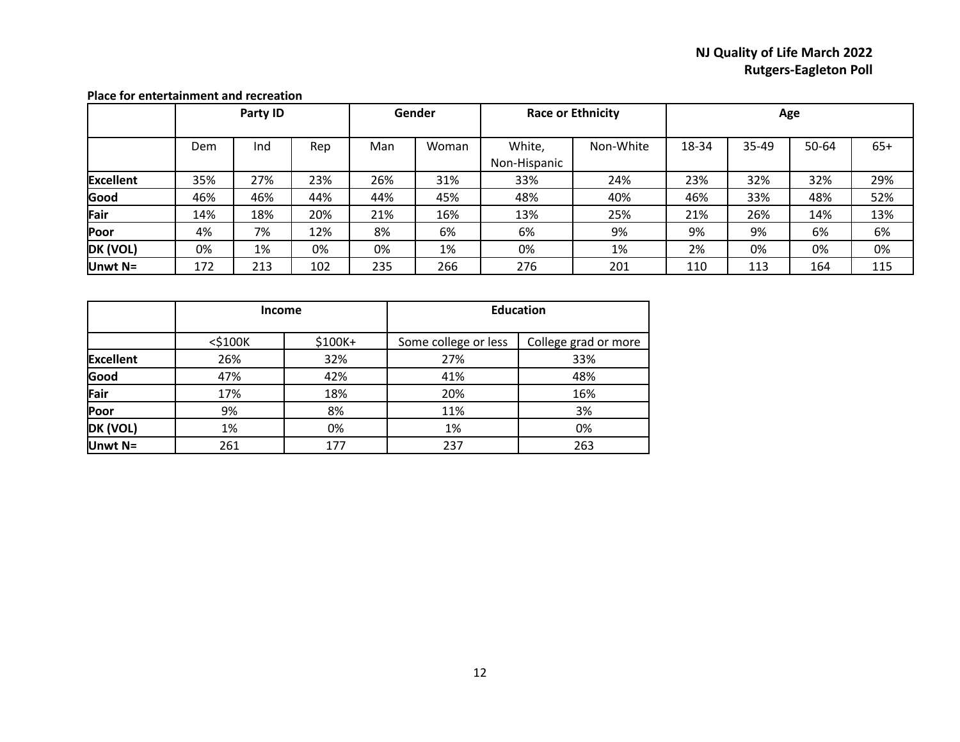|                  |     | Party ID   |     |     | Gender<br><b>Race or Ethnicity</b> |                        |           |       | Age       |       |       |
|------------------|-----|------------|-----|-----|------------------------------------|------------------------|-----------|-------|-----------|-------|-------|
|                  | Dem | Rep<br>Ind |     | Man | Woman                              | White,<br>Non-Hispanic | Non-White | 18-34 | $35 - 49$ | 50-64 | $65+$ |
| <b>Excellent</b> | 35% | 27%        | 23% | 26% | 31%                                | 33%                    | 24%       | 23%   | 32%       | 32%   | 29%   |
| Good             | 46% | 46%        | 44% | 44% | 45%                                | 48%                    | 40%       | 46%   | 33%       | 48%   | 52%   |
| Fair             | 14% | 18%        | 20% | 21% | 16%                                | 13%                    | 25%       | 21%   | 26%       | 14%   | 13%   |
| Poor             | 4%  | 7%         | 12% | 8%  | 6%                                 | 6%                     | 9%        | 9%    | 9%        | 6%    | 6%    |
| DK (VOL)         | 0%  | 1%         | 0%  | 0%  | 1%                                 | 0%                     | 1%        | 2%    | 0%        | 0%    | 0%    |
| Unwt N=          | 172 | 213        | 102 | 235 | 266                                | 276                    | 201       | 110   | 113       | 164   | 115   |

#### **Place for entertainment and recreation**

|                  |               | <b>Income</b> | <b>Education</b>     |                      |  |  |  |
|------------------|---------------|---------------|----------------------|----------------------|--|--|--|
|                  | $<$ \$100 $K$ | $$100K+$      | Some college or less | College grad or more |  |  |  |
| <b>Excellent</b> | 26%           | 32%           | 27%                  | 33%                  |  |  |  |
| Good             | 47%           | 42%           | 41%                  | 48%                  |  |  |  |
| Fair             | 17%           | 18%           | 20%                  | 16%                  |  |  |  |
| Poor             | 9%            | 8%            | 11%                  | 3%                   |  |  |  |
| DK (VOL)         | 1%            | 0%            | 1%                   | 0%                   |  |  |  |
| Unwt N=          | 261           | 177           | 237                  | 263                  |  |  |  |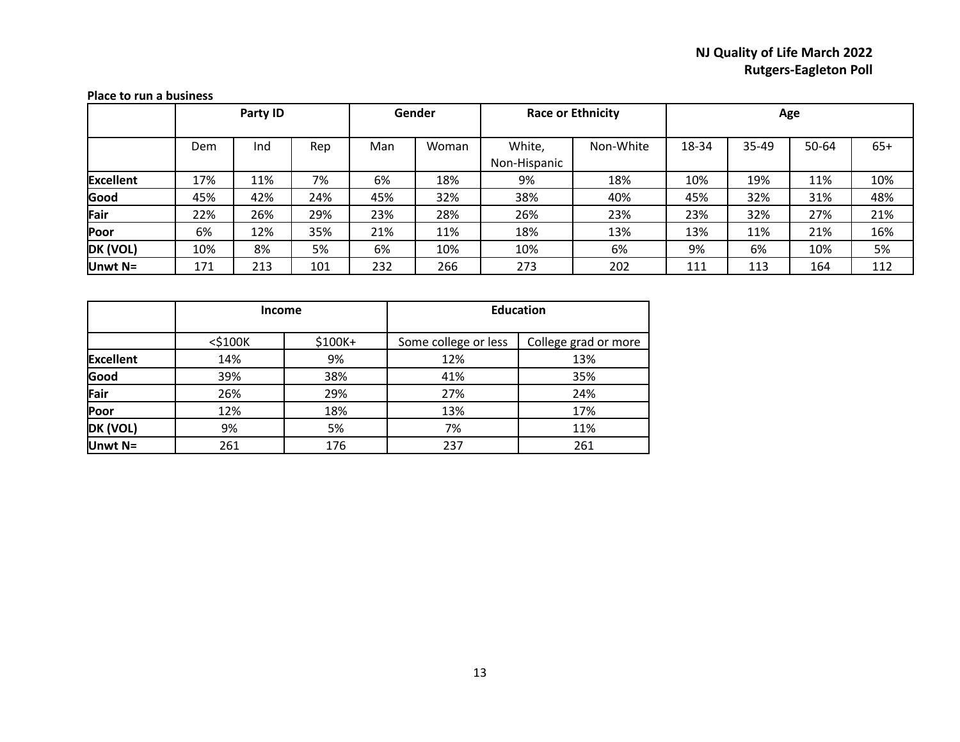|                  |     | Party ID |     |     | Gender |              | <b>Race or Ethnicity</b> |       |       | Age   |       |  |  |
|------------------|-----|----------|-----|-----|--------|--------------|--------------------------|-------|-------|-------|-------|--|--|
|                  |     |          |     |     |        |              |                          |       |       |       |       |  |  |
|                  | Dem | Ind      | Rep | Man | Woman  | White,       | Non-White                | 18-34 | 35-49 | 50-64 | $65+$ |  |  |
|                  |     |          |     |     |        | Non-Hispanic |                          |       |       |       |       |  |  |
| <b>Excellent</b> | 17% | 11%      | 7%  | 6%  | 18%    | 9%           | 18%                      | 10%   | 19%   | 11%   | 10%   |  |  |
| Good             | 45% | 42%      | 24% | 45% | 32%    | 38%          | 40%                      | 45%   | 32%   | 31%   | 48%   |  |  |
| Fair             | 22% | 26%      | 29% | 23% | 28%    | 26%          | 23%                      | 23%   | 32%   | 27%   | 21%   |  |  |
| Poor             | 6%  | 12%      | 35% | 21% | 11%    | 18%          | 13%                      | 13%   | 11%   | 21%   | 16%   |  |  |
| DK (VOL)         | 10% | 8%       | 5%  | 6%  | 10%    | 10%          | 6%                       | 9%    | 6%    | 10%   | 5%    |  |  |
| Unwt N=          | 171 | 213      | 101 | 232 | 266    | 273          | 202                      | 111   | 113   | 164   | 112   |  |  |

#### **Place to run a business**

|                  | <b>Income</b> |         | <b>Education</b>     |                      |  |  |  |
|------------------|---------------|---------|----------------------|----------------------|--|--|--|
|                  | $<$ \$100 $K$ | \$100K+ | Some college or less | College grad or more |  |  |  |
| <b>Excellent</b> | 14%           | 9%      | 12%                  | 13%                  |  |  |  |
| Good             | 39%           | 38%     | 41%                  | 35%                  |  |  |  |
| Fair             | 26%           | 29%     | 27%                  | 24%                  |  |  |  |
| Poor             | 12%           | 18%     | 13%                  | 17%                  |  |  |  |
| DK (VOL)         | 9%            | 5%      | 7%                   | 11%                  |  |  |  |
| Unwt N=          | 261           | 176     | 237                  | 261                  |  |  |  |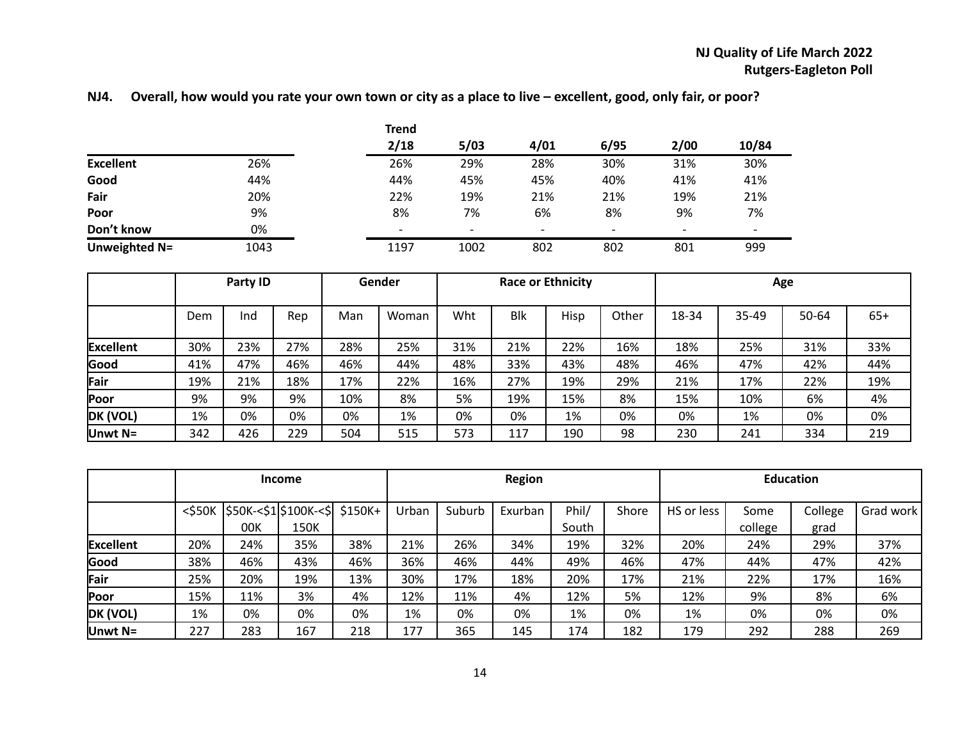# **NJ4. Overall, how would you rate your own town or city as a place to live – excellent, good, only fair, or poor?**

|                  |      | <b>Trend</b> |                          |                          |                          |                          |                          |
|------------------|------|--------------|--------------------------|--------------------------|--------------------------|--------------------------|--------------------------|
|                  |      | 2/18         | 5/03                     | 4/01                     | 6/95                     | 2/00                     | 10/84                    |
| <b>Excellent</b> | 26%  | 26%          | 29%                      | 28%                      | 30%                      | 31%                      | 30%                      |
| Good             | 44%  | 44%          | 45%                      | 45%                      | 40%                      | 41%                      | 41%                      |
| Fair             | 20%  | 22%          | 19%                      | 21%                      | 21%                      | 19%                      | 21%                      |
| Poor             | 9%   | 8%           | 7%                       | 6%                       | 8%                       | 9%                       | 7%                       |
| Don't know       | 0%   | -            | $\overline{\phantom{a}}$ | $\overline{\phantom{0}}$ | $\overline{\phantom{0}}$ | $\overline{\phantom{a}}$ | $\overline{\phantom{0}}$ |
| Unweighted N=    | 1043 | 1197         | 1002                     | 802                      | 802                      | 801                      | 999                      |

|                  | Party ID |     |     |     | Gender | <b>Race or Ethnicity</b> |            |      |       | Age   |           |       |       |
|------------------|----------|-----|-----|-----|--------|--------------------------|------------|------|-------|-------|-----------|-------|-------|
|                  | Dem      | Ind | Rep | Man | Woman  | Wht                      | <b>Blk</b> | Hisp | Other | 18-34 | $35 - 49$ | 50-64 | $65+$ |
|                  |          |     |     |     |        |                          |            |      |       |       |           |       |       |
| <b>Excellent</b> | 30%      | 23% | 27% | 28% | 25%    | 31%                      | 21%        | 22%  | 16%   | 18%   | 25%       | 31%   | 33%   |
| Good             | 41%      | 47% | 46% | 46% | 44%    | 48%                      | 33%        | 43%  | 48%   | 46%   | 47%       | 42%   | 44%   |
| Fair             | 19%      | 21% | 18% | 17% | 22%    | 16%                      | 27%        | 19%  | 29%   | 21%   | 17%       | 22%   | 19%   |
| Poor             | 9%       | 9%  | 9%  | 10% | 8%     | 5%                       | 19%        | 15%  | 8%    | 15%   | 10%       | 6%    | 4%    |
| DK (VOL)         | 1%       | 0%  | 0%  | 0%  | 1%     | 0%                       | 0%         | 1%   | 0%    | 0%    | 1%        | 0%    | 0%    |
| Unwt $N=$        | 342      | 426 | 229 | 504 | 515    | 573                      | 117        | 190  | 98    | 230   | 241       | 334   | 219   |

|                  | <b>Income</b>                                           |     |      |     | <b>Region</b> |        |         |       |       |            | <b>Education</b> |         |           |  |
|------------------|---------------------------------------------------------|-----|------|-----|---------------|--------|---------|-------|-------|------------|------------------|---------|-----------|--|
|                  | $<$ \$50K $ $ \$50K- $<$ \$1 $ $ \$100K- $<$ \$ \$150K+ |     |      |     | Urban         | Suburb | Exurban | Phil/ | Shore | HS or less | Some             | College | Grad work |  |
|                  |                                                         | 00K | 150K |     |               |        |         | South |       |            | college          | grad    |           |  |
| <b>Excellent</b> | 20%                                                     | 24% | 35%  | 38% | 21%           | 26%    | 34%     | 19%   | 32%   | 20%        | 24%              | 29%     | 37%       |  |
| Good             | 38%                                                     | 46% | 43%  | 46% | 36%           | 46%    | 44%     | 49%   | 46%   | 47%        | 44%              | 47%     | 42%       |  |
| Fair             | 25%                                                     | 20% | 19%  | 13% | 30%           | 17%    | 18%     | 20%   | 17%   | 21%        | 22%              | 17%     | 16%       |  |
| Poor             | 15%                                                     | 11% | 3%   | 4%  | 12%           | 11%    | 4%      | 12%   | 5%    | 12%        | 9%               | 8%      | 6%        |  |
| DK (VOL)         | 1%                                                      | 0%  | 0%   | 0%  | 1%            | 0%     | 0%      | 1%    | 0%    | 1%         | 0%               | 0%      | 0%        |  |
| Unwt $N=$        | 227                                                     | 283 | 167  | 218 | 177           | 365    | 145     | 174   | 182   | 179        | 292              | 288     | 269       |  |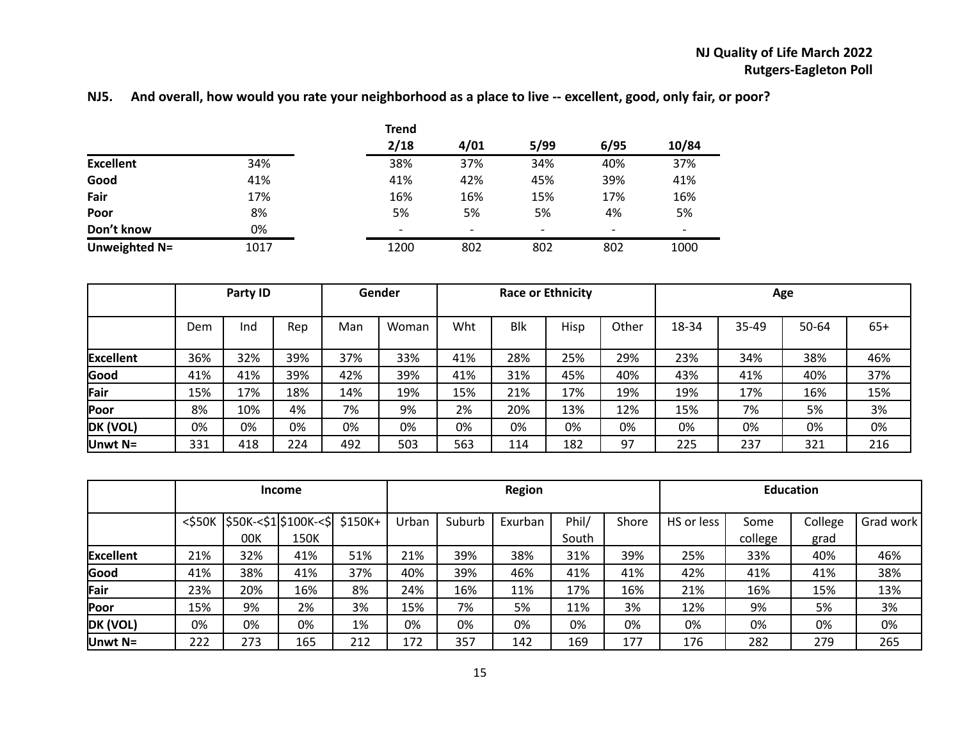|  |  |  |  | NJ5. And overall, how would you rate your neighborhood as a place to live -- excellent, good, only fair, or poor? |
|--|--|--|--|-------------------------------------------------------------------------------------------------------------------|
|--|--|--|--|-------------------------------------------------------------------------------------------------------------------|

|                  |      | <b>Trend</b> |      |                          |                          |       |
|------------------|------|--------------|------|--------------------------|--------------------------|-------|
|                  |      | 2/18         | 4/01 | 5/99                     | 6/95                     | 10/84 |
| <b>Excellent</b> | 34%  | 38%          | 37%  | 34%                      | 40%                      | 37%   |
| Good             | 41%  | 41%          | 42%  | 45%                      | 39%                      | 41%   |
| Fair             | 17%  | 16%          | 16%  | 15%                      | 17%                      | 16%   |
| Poor             | 8%   | 5%           | 5%   | 5%                       | 4%                       | 5%    |
| Don't know       | 0%   |              |      | $\overline{\phantom{a}}$ | $\overline{\phantom{0}}$ | -     |
| Unweighted N=    | 1017 | 1200         | 802  | 802                      | 802                      | 1000  |

|                  |     | Party ID |     |     | Gender | <b>Race or Ethnicity</b> |            |      |       | Age   |       |       |       |
|------------------|-----|----------|-----|-----|--------|--------------------------|------------|------|-------|-------|-------|-------|-------|
|                  | Dem | Ind      | Rep | Man | Woman  | Wht                      | <b>Blk</b> | Hisp | Other | 18-34 | 35-49 | 50-64 | $65+$ |
| <b>Excellent</b> | 36% | 32%      | 39% | 37% | 33%    | 41%                      | 28%        | 25%  | 29%   | 23%   | 34%   | 38%   | 46%   |
| Good             | 41% | 41%      | 39% | 42% | 39%    | 41%                      | 31%        | 45%  | 40%   | 43%   | 41%   | 40%   | 37%   |
| Fair             | 15% | 17%      | 18% | 14% | 19%    | 15%                      | 21%        | 17%  | 19%   | 19%   | 17%   | 16%   | 15%   |
| Poor             | 8%  | 10%      | 4%  | 7%  | 9%     | 2%                       | 20%        | 13%  | 12%   | 15%   | 7%    | 5%    | 3%    |
| DK (VOL)         | 0%  | 0%       | 0%  | 0%  | 0%     | 0%                       | 0%         | 0%   | 0%    | 0%    | 0%    | 0%    | 0%    |
| Unwt N=          | 331 | 418      | 224 | 492 | 503    | 563                      | 114        | 182  | 97    | 225   | 237   | 321   | 216   |

|                  | <b>Income</b>                      |     |      |          | <b>Region</b> |        |         |       |       | <b>Education</b> |         |         |           |
|------------------|------------------------------------|-----|------|----------|---------------|--------|---------|-------|-------|------------------|---------|---------|-----------|
|                  | \$50K<\$1\$100K<\$<br>$<$ \$50 $K$ |     |      | $$150K+$ | Urban         | Suburb | Exurban | Phil/ | Shore | HS or less       | Some    | College | Grad work |
|                  |                                    | 00K | 150K |          |               |        |         | South |       |                  | college | grad    |           |
| <b>Excellent</b> | 21%                                | 32% | 41%  | 51%      | 21%           | 39%    | 38%     | 31%   | 39%   | 25%              | 33%     | 40%     | 46%       |
| Good             | 41%                                | 38% | 41%  | 37%      | 40%           | 39%    | 46%     | 41%   | 41%   | 42%              | 41%     | 41%     | 38%       |
| Fair             | 23%                                | 20% | 16%  | 8%       | 24%           | 16%    | 11%     | 17%   | 16%   | 21%              | 16%     | 15%     | 13%       |
| Poor             | 15%                                | 9%  | 2%   | 3%       | 15%           | 7%     | 5%      | 11%   | 3%    | 12%              | 9%      | 5%      | 3%        |
| DK (VOL)         | 0%                                 | 0%  | 0%   | 1%       | 0%            | 0%     | 0%      | 0%    | 0%    | 0%               | 0%      | 0%      | 0%        |
| Unwt N=          | 222                                | 273 | 165  | 212      | 172           | 357    | 142     | 169   | 177   | 176              | 282     | 279     | 265       |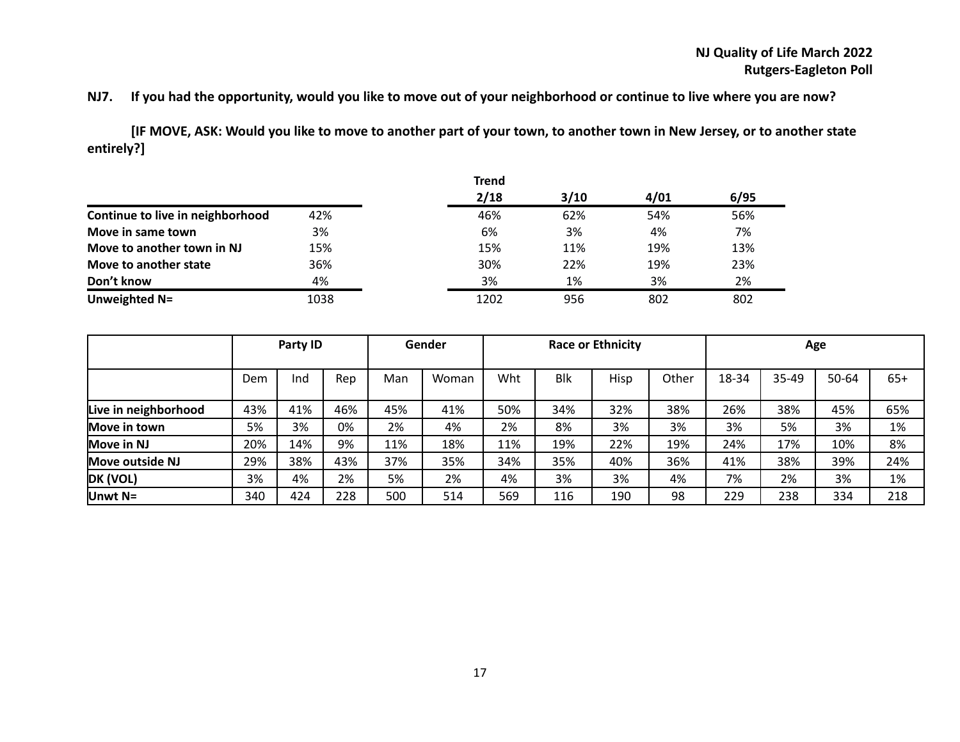## **NJ7. If you had the opportunity, would you like to move out of your neighborhood or continue to live where you are now?**

**[IF MOVE, ASK: Would you like to move to another part of your town, to another town in New Jersey, or to another state entirely?]**

|                                  |      | <b>Trend</b> |      |      |      |
|----------------------------------|------|--------------|------|------|------|
|                                  |      | 2/18         | 3/10 | 4/01 | 6/95 |
| Continue to live in neighborhood | 42%  | 46%          | 62%  | 54%  | 56%  |
| Move in same town                | 3%   | 6%           | 3%   | 4%   | 7%   |
| Move to another town in NJ       | 15%  | 15%          | 11%  | 19%  | 13%  |
| Move to another state            | 36%  | 30%          | 22%  | 19%  | 23%  |
| Don't know                       | 4%   | 3%           | 1%   | 3%   | 2%   |
| Unweighted N=                    | 1038 | 1202         | 956  | 802  | 802  |

|                        |     | Party ID |     |     | Gender |     |            | <b>Race or Ethnicity</b> |       | Age   |       |       |       |
|------------------------|-----|----------|-----|-----|--------|-----|------------|--------------------------|-------|-------|-------|-------|-------|
|                        |     |          |     |     |        |     |            |                          |       |       |       |       |       |
|                        | Dem | Ind      | Rep | Man | Woman  | Wht | <b>Blk</b> | Hisp                     | Other | 18-34 | 35-49 | 50-64 | $65+$ |
|                        |     |          |     |     |        |     |            |                          |       |       |       |       |       |
| Live in neighborhood   | 43% | 41%      | 46% | 45% | 41%    | 50% | 34%        | 32%                      | 38%   | 26%   | 38%   | 45%   | 65%   |
| Move in town           | 5%  | 3%       | 0%  | 2%  | 4%     | 2%  | 8%         | 3%                       | 3%    | 3%    | 5%    | 3%    | 1%    |
| Move in NJ             | 20% | 14%      | 9%  | 11% | 18%    | 11% | 19%        | 22%                      | 19%   | 24%   | 17%   | 10%   | 8%    |
| <b>Move outside NJ</b> | 29% | 38%      | 43% | 37% | 35%    | 34% | 35%        | 40%                      | 36%   | 41%   | 38%   | 39%   | 24%   |
| DK (VOL)               | 3%  | 4%       | 2%  | 5%  | 2%     | 4%  | 3%         | 3%                       | 4%    | 7%    | 2%    | 3%    | 1%    |
| Unwt $N=$              | 340 | 424      | 228 | 500 | 514    | 569 | 116        | 190                      | 98    | 229   | 238   | 334   | 218   |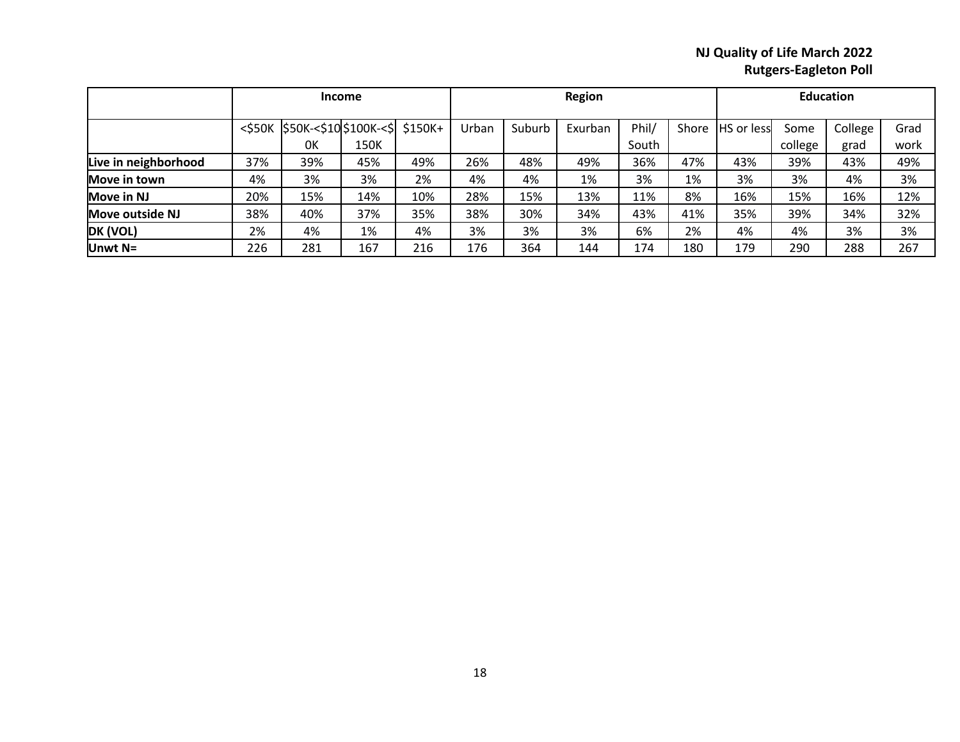|                      | <b>Income</b> |                             |      |     | <b>Region</b> |        |         |       | <b>Education</b> |                    |         |         |      |
|----------------------|---------------|-----------------------------|------|-----|---------------|--------|---------|-------|------------------|--------------------|---------|---------|------|
|                      | $<$ \$50 $K$  | $ $50K<$10$100K<$$ $$150K+$ |      |     | Urban         | Suburb | Exurban | Phil/ | Shore            | <b>IHS</b> or less | Some    | College | Grad |
|                      |               | 0K                          | 150K |     |               |        |         | South |                  |                    | college | grad    | work |
| Live in neighborhood | 37%           | 39%                         | 45%  | 49% | 26%           | 48%    | 49%     | 36%   | 47%              | 43%                | 39%     | 43%     | 49%  |
| Move in town         | 4%            | 3%                          | 3%   | 2%  | 4%            | 4%     | 1%      | 3%    | 1%               | 3%                 | 3%      | 4%      | 3%   |
| Move in NJ           | 20%           | 15%                         | 14%  | 10% | 28%           | 15%    | 13%     | 11%   | 8%               | 16%                | 15%     | 16%     | 12%  |
| Move outside NJ      | 38%           | 40%                         | 37%  | 35% | 38%           | 30%    | 34%     | 43%   | 41%              | 35%                | 39%     | 34%     | 32%  |
| DK (VOL)             | 2%            | 4%                          | 1%   | 4%  | 3%            | 3%     | 3%      | 6%    | 2%               | 4%                 | 4%      | 3%      | 3%   |
| Unwt $N=$            | 226           | 281                         | 167  | 216 | 176           | 364    | 144     | 174   | 180              | 179                | 290     | 288     | 267  |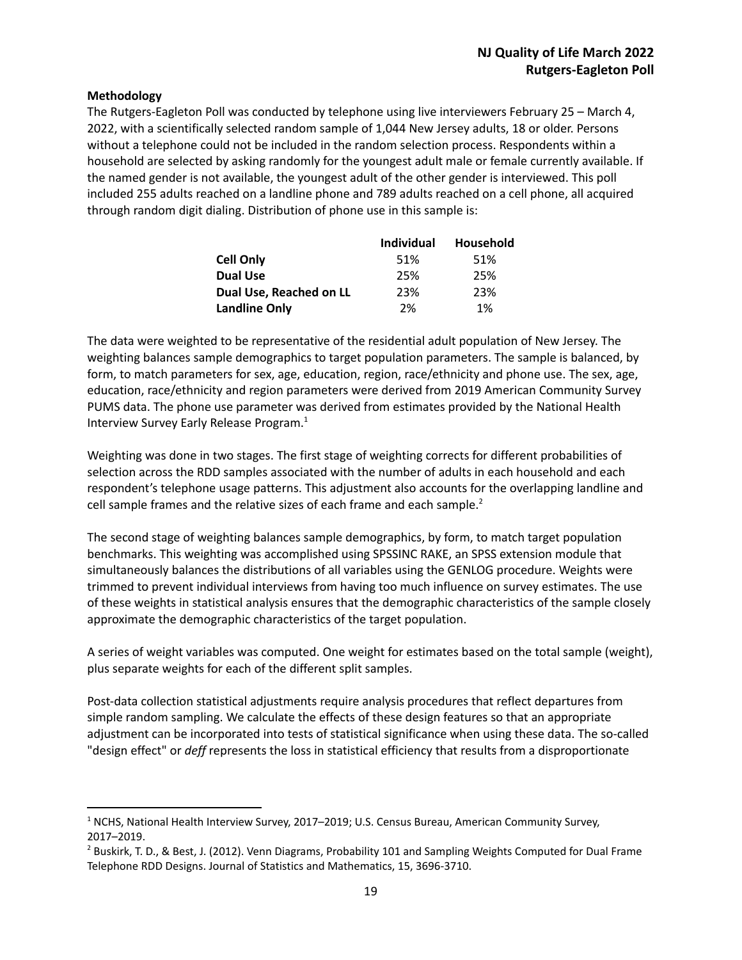#### **Methodology**

The Rutgers-Eagleton Poll was conducted by telephone using live interviewers February 25 – March 4, 2022, with a scientifically selected random sample of 1,044 New Jersey adults, 18 or older. Persons without a telephone could not be included in the random selection process. Respondents within a household are selected by asking randomly for the youngest adult male or female currently available. If the named gender is not available, the youngest adult of the other gender is interviewed. This poll included 255 adults reached on a landline phone and 789 adults reached on a cell phone, all acquired through random digit dialing. Distribution of phone use in this sample is:

|                         | <b>Individual</b> | Household |
|-------------------------|-------------------|-----------|
| <b>Cell Only</b>        | 51%               | 51%       |
| <b>Dual Use</b>         | 25%               | 25%       |
| Dual Use, Reached on LL | 23%               | 23%       |
| <b>Landline Only</b>    | 2%                | 1%        |

The data were weighted to be representative of the residential adult population of New Jersey. The weighting balances sample demographics to target population parameters. The sample is balanced, by form, to match parameters for sex, age, education, region, race/ethnicity and phone use. The sex, age, education, race/ethnicity and region parameters were derived from 2019 American Community Survey PUMS data. The phone use parameter was derived from estimates provided by the National Health Interview Survey Early Release Program. 1

Weighting was done in two stages. The first stage of weighting corrects for different probabilities of selection across the RDD samples associated with the number of adults in each household and each respondent's telephone usage patterns. This adjustment also accounts for the overlapping landline and cell sample frames and the relative sizes of each frame and each sample.<sup>2</sup>

The second stage of weighting balances sample demographics, by form, to match target population benchmarks. This weighting was accomplished using SPSSINC RAKE, an SPSS extension module that simultaneously balances the distributions of all variables using the GENLOG procedure. Weights were trimmed to prevent individual interviews from having too much influence on survey estimates. The use of these weights in statistical analysis ensures that the demographic characteristics of the sample closely approximate the demographic characteristics of the target population.

A series of weight variables was computed. One weight for estimates based on the total sample (weight), plus separate weights for each of the different split samples.

Post-data collection statistical adjustments require analysis procedures that reflect departures from simple random sampling. We calculate the effects of these design features so that an appropriate adjustment can be incorporated into tests of statistical significance when using these data. The so-called "design effect" or *deff* represents the loss in statistical efficiency that results from a disproportionate

<sup>&</sup>lt;sup>1</sup> NCHS, National Health Interview Survey, 2017–2019; U.S. Census Bureau, American Community Survey, 2017–2019.

<sup>&</sup>lt;sup>2</sup> Buskirk, T. D., & Best, J. (2012). Venn Diagrams, Probability 101 and Sampling Weights Computed for Dual Frame Telephone RDD Designs. Journal of Statistics and Mathematics, 15, 3696-3710.